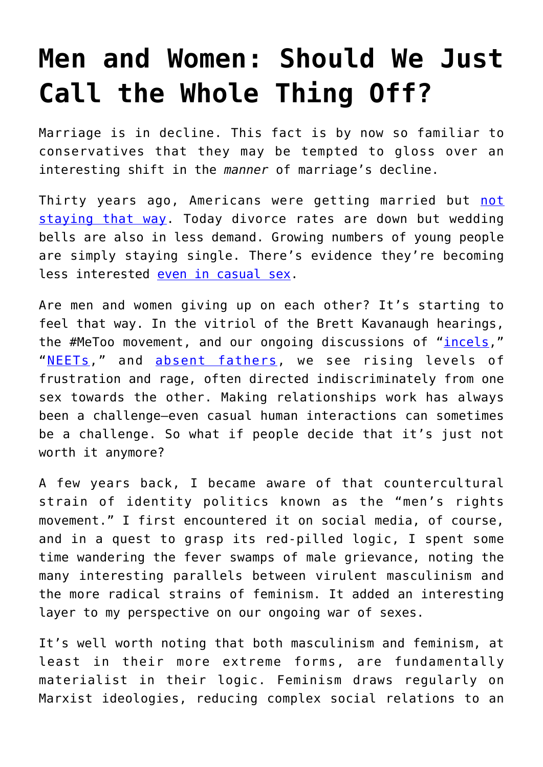## **[Men and Women: Should We Just](https://intellectualtakeout.org/2018/10/men-and-women-should-we-just-call-the-whole-thing-off/) [Call the Whole Thing Off?](https://intellectualtakeout.org/2018/10/men-and-women-should-we-just-call-the-whole-thing-off/)**

Marriage is in decline. This fact is by now so familiar to conservatives that they may be tempted to gloss over an interesting shift in the *manner* of marriage's decline.

Thirty years ago, Americans were getting married but [not](https://www.washingtonpost.com/news/wonk/wp/2015/06/23/144-years-of-marriage-and-divorce-in-the-united-states-in-one-chart/?utm_term=.54595d7cad5d) [staying that way.](https://www.washingtonpost.com/news/wonk/wp/2015/06/23/144-years-of-marriage-and-divorce-in-the-united-states-in-one-chart/?utm_term=.54595d7cad5d) Today divorce rates are down but wedding bells are also in less demand. Growing numbers of young people are simply staying single. There's evidence they're becoming less interested [even in casual sex.](http://www.latimes.com/opinion/opinion-la/la-ol-millennials-less-sex-20160802-snap-story.html)

Are men and women giving up on each other? It's starting to feel that way. In the vitriol of the Brett Kavanaugh hearings, the #MeToo movement, and our ongoing discussions of "[incels](https://www.vox.com/2018/6/20/17314846/incel-support-group-therapy-black-pill-mental-health)," "[NEETs,](https://data.oecd.org/youthinac/youth-not-in-employment-education-or-training-neet.htm)" and [absent fathers](https://www.fatherhood.org/father-absence-statistic), we see rising levels of frustration and rage, often directed indiscriminately from one sex towards the other. Making relationships work has always been a challenge—even casual human interactions can sometimes be a challenge. So what if people decide that it's just not worth it anymore?

A few years back, I became aware of that countercultural strain of identity politics known as the "men's rights movement." I first encountered it on social media, of course, and in a quest to grasp its red-pilled logic, I spent some time wandering the fever swamps of male grievance, noting the many interesting parallels between virulent masculinism and the more radical strains of feminism. It added an interesting layer to my perspective on our ongoing war of sexes.

It's well worth noting that both masculinism and feminism, at least in their more extreme forms, are fundamentally materialist in their logic. Feminism draws regularly on Marxist ideologies, reducing complex social relations to an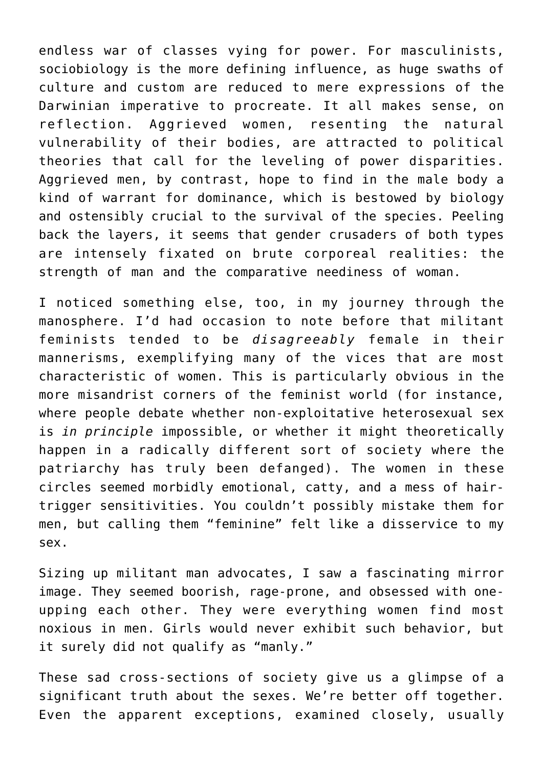endless war of classes vying for power. For masculinists, sociobiology is the more defining influence, as huge swaths of culture and custom are reduced to mere expressions of the Darwinian imperative to procreate. It all makes sense, on reflection. Aggrieved women, resenting the natural vulnerability of their bodies, are attracted to political theories that call for the leveling of power disparities. Aggrieved men, by contrast, hope to find in the male body a kind of warrant for dominance, which is bestowed by biology and ostensibly crucial to the survival of the species. Peeling back the layers, it seems that gender crusaders of both types are intensely fixated on brute corporeal realities: the strength of man and the comparative neediness of woman.

I noticed something else, too, in my journey through the manosphere. I'd had occasion to note before that militant feminists tended to be *disagreeably* female in their mannerisms, exemplifying many of the vices that are most characteristic of women. This is particularly obvious in the more misandrist corners of the feminist world (for instance, where people debate whether non-exploitative heterosexual sex is *in principle* impossible, or whether it might theoretically happen in a radically different sort of society where the patriarchy has truly been defanged). The women in these circles seemed morbidly emotional, catty, and a mess of hairtrigger sensitivities. You couldn't possibly mistake them for men, but calling them "feminine" felt like a disservice to my sex.

Sizing up militant man advocates, I saw a fascinating mirror image. They seemed boorish, rage-prone, and obsessed with oneupping each other. They were everything women find most noxious in men. Girls would never exhibit such behavior, but it surely did not qualify as "manly."

These sad cross-sections of society give us a glimpse of a significant truth about the sexes. We're better off together. Even the apparent exceptions, examined closely, usually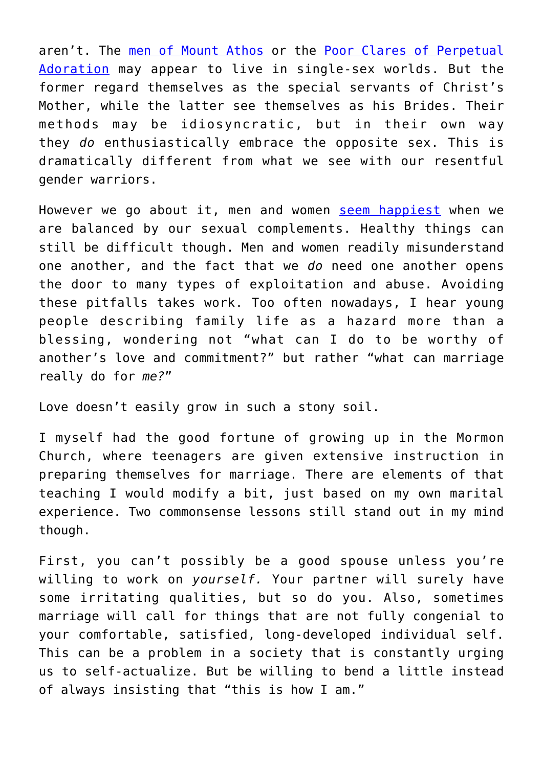aren't. The [men of Mount Athos](https://www.nytimes.com/2018/10/20/world/europe/mount-athos-greece-russia-eastern-orthodox-church.html) or the [Poor Clares of Perpetual](http://www.olamnuns.com/) [Adoration](http://www.olamnuns.com/) may appear to live in single-sex worlds. But the former regard themselves as the special servants of Christ's Mother, while the latter see themselves as his Brides. Their methods may be idiosyncratic, but in their own way they *do* enthusiastically embrace the opposite sex. This is dramatically different from what we see with our resentful gender warriors.

However we go about it, men and women [seem happiest](https://www.independent.co.uk/life-style/married-people-single-satisfied-life-couple-study-relationships-happy-a8124861.html) when we are balanced by our sexual complements. Healthy things can still be difficult though. Men and women readily misunderstand one another, and the fact that we *do* need one another opens the door to many types of exploitation and abuse. Avoiding these pitfalls takes work. Too often nowadays, I hear young people describing family life as a hazard more than a blessing, wondering not "what can I do to be worthy of another's love and commitment?" but rather "what can marriage really do for *me?*"

Love doesn't easily grow in such a stony soil.

I myself had the good fortune of growing up in the Mormon Church, where teenagers are given extensive instruction in preparing themselves for marriage. There are elements of that teaching I would modify a bit, just based on my own marital experience. Two commonsense lessons still stand out in my mind though.

First, you can't possibly be a good spouse unless you're willing to work on *yourself.* Your partner will surely have some irritating qualities, but so do you. Also, sometimes marriage will call for things that are not fully congenial to your comfortable, satisfied, long-developed individual self. This can be a problem in a society that is constantly urging us to self-actualize. But be willing to bend a little instead of always insisting that "this is how I am."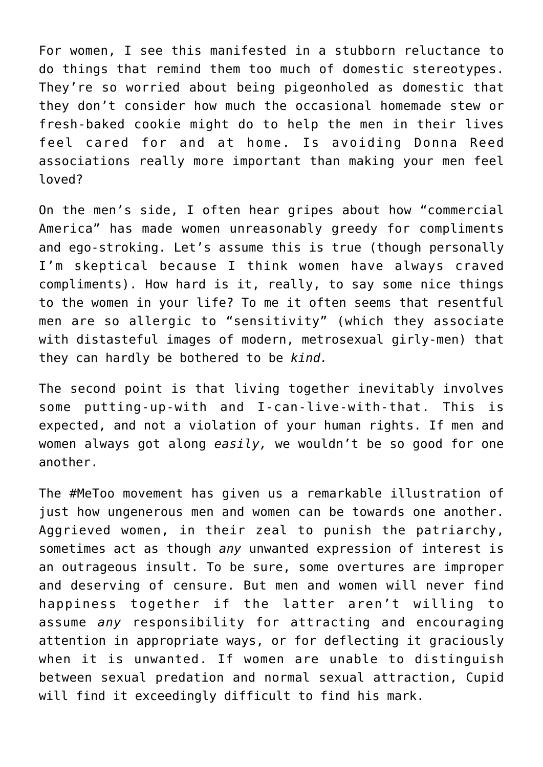For women, I see this manifested in a stubborn reluctance to do things that remind them too much of domestic stereotypes. They're so worried about being pigeonholed as domestic that they don't consider how much the occasional homemade stew or fresh-baked cookie might do to help the men in their lives feel cared for and at home. Is avoiding Donna Reed associations really more important than making your men feel loved?

On the men's side, I often hear gripes about how "commercial America" has made women unreasonably greedy for compliments and ego-stroking. Let's assume this is true (though personally I'm skeptical because I think women have always craved compliments). How hard is it, really, to say some nice things to the women in your life? To me it often seems that resentful men are so allergic to "sensitivity" (which they associate with distasteful images of modern, metrosexual girly-men) that they can hardly be bothered to be *kind.*

The second point is that living together inevitably involves some putting-up-with and I-can-live-with-that. This is expected, and not a violation of your human rights. If men and women always got along *easily,* we wouldn't be so good for one another.

The #MeToo movement has given us a remarkable illustration of just how ungenerous men and women can be towards one another. Aggrieved women, in their zeal to punish the patriarchy, sometimes act as though *any* unwanted expression of interest is an outrageous insult. To be sure, some overtures are improper and deserving of censure. But men and women will never find happiness together if the latter aren't willing to assume *any* responsibility for attracting and encouraging attention in appropriate ways, or for deflecting it graciously when it is unwanted. If women are unable to distinguish between sexual predation and normal sexual attraction, Cupid will find it exceedingly difficult to find his mark.